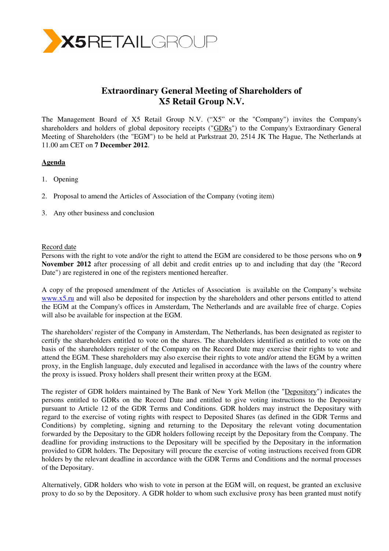

# **Extraordinary General Meeting of Shareholders of X5 Retail Group N.V.**

The Management Board of X5 Retail Group N.V. ("X5" or the "Company") invites the Company's shareholders and holders of global depository receipts ("GDRs") to the Company's Extraordinary General Meeting of Shareholders (the "EGM") to be held at Parkstraat 20, 2514 JK The Hague, The Netherlands at 11.00 am CET on **7 December 2012**.

### **Agenda**

- 1. Opening
- 2. Proposal to amend the Articles of Association of the Company (voting item)
- 3. Any other business and conclusion

#### Record date

Persons with the right to vote and/or the right to attend the EGM are considered to be those persons who on **9 November 2012** after processing of all debit and credit entries up to and including that day (the "Record Date") are registered in one of the registers mentioned hereafter.

A copy of the proposed amendment of the Articles of Association is available on the Company's website www.x5.ru and will also be deposited for inspection by the shareholders and other persons entitled to attend the EGM at the Company's offices in Amsterdam, The Netherlands and are available free of charge. Copies will also be available for inspection at the EGM.

The shareholders' register of the Company in Amsterdam, The Netherlands, has been designated as register to certify the shareholders entitled to vote on the shares. The shareholders identified as entitled to vote on the basis of the shareholders register of the Company on the Record Date may exercise their rights to vote and attend the EGM. These shareholders may also exercise their rights to vote and/or attend the EGM by a written proxy, in the English language, duly executed and legalised in accordance with the laws of the country where the proxy is issued. Proxy holders shall present their written proxy at the EGM.

The register of GDR holders maintained by The Bank of New York Mellon (the "Depository") indicates the persons entitled to GDRs on the Record Date and entitled to give voting instructions to the Depositary pursuant to Article 12 of the GDR Terms and Conditions. GDR holders may instruct the Depositary with regard to the exercise of voting rights with respect to Deposited Shares (as defined in the GDR Terms and Conditions) by completing, signing and returning to the Depositary the relevant voting documentation forwarded by the Depositary to the GDR holders following receipt by the Depositary from the Company. The deadline for providing instructions to the Depositary will be specified by the Depositary in the information provided to GDR holders. The Depositary will procure the exercise of voting instructions received from GDR holders by the relevant deadline in accordance with the GDR Terms and Conditions and the normal processes of the Depositary.

Alternatively, GDR holders who wish to vote in person at the EGM will, on request, be granted an exclusive proxy to do so by the Depository. A GDR holder to whom such exclusive proxy has been granted must notify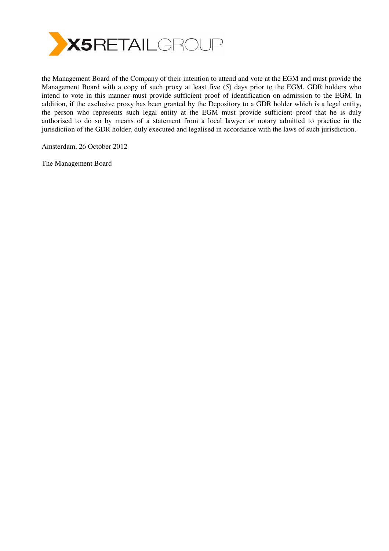

the Management Board of the Company of their intention to attend and vote at the EGM and must provide the Management Board with a copy of such proxy at least five (5) days prior to the EGM. GDR holders who intend to vote in this manner must provide sufficient proof of identification on admission to the EGM. In addition, if the exclusive proxy has been granted by the Depository to a GDR holder which is a legal entity, the person who represents such legal entity at the EGM must provide sufficient proof that he is duly authorised to do so by means of a statement from a local lawyer or notary admitted to practice in the jurisdiction of the GDR holder, duly executed and legalised in accordance with the laws of such jurisdiction.

Amsterdam, 26 October 2012

The Management Board